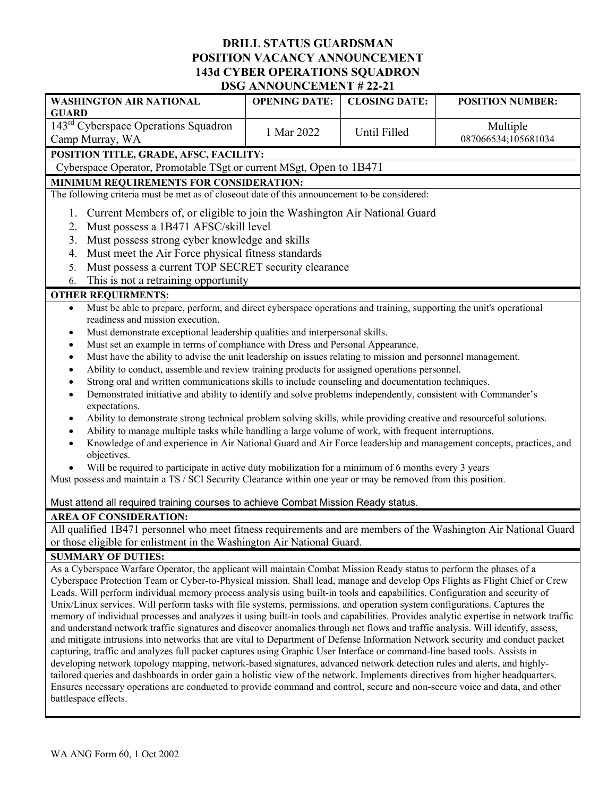## **DRILL STATUS GUARDSMAN POSITION VACANCY ANNOUNCEMENT 143d CYBER OPERATIONS SQUADRON DSG ANNOUNCEMENT # 22-21**

| <b>WASHINGTON AIR NATIONAL</b><br><b>GUARD</b>                                                                                                                                                                                                              | <b>OPENING DATE:</b> | <b>CLOSING DATE:</b> | <b>POSITION NUMBER:</b> |
|-------------------------------------------------------------------------------------------------------------------------------------------------------------------------------------------------------------------------------------------------------------|----------------------|----------------------|-------------------------|
| 143 <sup>rd</sup> Cyberspace Operations Squadron                                                                                                                                                                                                            |                      |                      | Multiple                |
| Camp Murray, WA                                                                                                                                                                                                                                             | 1 Mar 2022           | Until Filled         | 087066534;105681034     |
| POSITION TITLE, GRADE, AFSC, FACILITY:                                                                                                                                                                                                                      |                      |                      |                         |
| Cyberspace Operator, Promotable TSgt or current MSgt, Open to 1B471                                                                                                                                                                                         |                      |                      |                         |
| MINIMUM REQUIREMENTS FOR CONSIDERATION:                                                                                                                                                                                                                     |                      |                      |                         |
| The following criteria must be met as of closeout date of this announcement to be considered:                                                                                                                                                               |                      |                      |                         |
| Current Members of, or eligible to join the Washington Air National Guard<br>1.                                                                                                                                                                             |                      |                      |                         |
| Must possess a 1B471 AFSC/skill level<br>2.                                                                                                                                                                                                                 |                      |                      |                         |
| Must possess strong cyber knowledge and skills<br>3.                                                                                                                                                                                                        |                      |                      |                         |
| Must meet the Air Force physical fitness standards<br>4.                                                                                                                                                                                                    |                      |                      |                         |
| Must possess a current TOP SECRET security clearance<br>5.                                                                                                                                                                                                  |                      |                      |                         |
| This is not a retraining opportunity<br>6.                                                                                                                                                                                                                  |                      |                      |                         |
| <b>OTHER REQUIRMENTS:</b>                                                                                                                                                                                                                                   |                      |                      |                         |
| Must be able to prepare, perform, and direct cyberspace operations and training, supporting the unit's operational<br>$\bullet$                                                                                                                             |                      |                      |                         |
| readiness and mission execution.                                                                                                                                                                                                                            |                      |                      |                         |
| Must demonstrate exceptional leadership qualities and interpersonal skills.<br>٠                                                                                                                                                                            |                      |                      |                         |
| Must set an example in terms of compliance with Dress and Personal Appearance.<br>٠<br>Must have the ability to advise the unit leadership on issues relating to mission and personnel management.                                                          |                      |                      |                         |
| $\bullet$<br>Ability to conduct, assemble and review training products for assigned operations personnel.<br>$\bullet$                                                                                                                                      |                      |                      |                         |
| Strong oral and written communications skills to include counseling and documentation techniques.<br>٠                                                                                                                                                      |                      |                      |                         |
| Demonstrated initiative and ability to identify and solve problems independently, consistent with Commander's<br>$\bullet$                                                                                                                                  |                      |                      |                         |
| expectations.                                                                                                                                                                                                                                               |                      |                      |                         |
| Ability to demonstrate strong technical problem solving skills, while providing creative and resourceful solutions.<br>$\bullet$                                                                                                                            |                      |                      |                         |
| Ability to manage multiple tasks while handling a large volume of work, with frequent interruptions.                                                                                                                                                        |                      |                      |                         |
| Knowledge of and experience in Air National Guard and Air Force leadership and management concepts, practices, and                                                                                                                                          |                      |                      |                         |
| objectives.                                                                                                                                                                                                                                                 |                      |                      |                         |
| Will be required to participate in active duty mobilization for a minimum of 6 months every 3 years                                                                                                                                                         |                      |                      |                         |
| Must possess and maintain a TS / SCI Security Clearance within one year or may be removed from this position.                                                                                                                                               |                      |                      |                         |
| Must attend all required training courses to achieve Combat Mission Ready status.                                                                                                                                                                           |                      |                      |                         |
| <b>AREA OF CONSIDERATION:</b>                                                                                                                                                                                                                               |                      |                      |                         |
| All qualified 1B471 personnel who meet fitness requirements and are members of the Washington Air National Guard                                                                                                                                            |                      |                      |                         |
| or those eligible for enlistment in the Washington Air National Guard.                                                                                                                                                                                      |                      |                      |                         |
| <b>SUMMARY OF DUTIES:</b><br>As a Cyberspace Warfare Operator, the applicant will maintain Combat Mission Ready status to perform the phases of a                                                                                                           |                      |                      |                         |
|                                                                                                                                                                                                                                                             |                      |                      |                         |
| Cyberspace Protection Team or Cyber-to-Physical mission. Shall lead, manage and develop Ops Flights as Flight Chief or Crew<br>Leads. Will perform individual memory process analysis using built-in tools and capabilities. Configuration and security of  |                      |                      |                         |
| Unix/Linux services. Will perform tasks with file systems, permissions, and operation system configurations. Captures the                                                                                                                                   |                      |                      |                         |
| memory of individual processes and analyzes it using built-in tools and capabilities. Provides analytic expertise in network traffic                                                                                                                        |                      |                      |                         |
| and understand network traffic signatures and discover anomalies through net flows and traffic analysis. Will identify, assess,                                                                                                                             |                      |                      |                         |
| and mitigate intrusions into networks that are vital to Department of Defense Information Network security and conduct packet                                                                                                                               |                      |                      |                         |
| capturing, traffic and analyzes full packet captures using Graphic User Interface or command-line based tools. Assists in                                                                                                                                   |                      |                      |                         |
| developing network topology mapping, network-based signatures, advanced network detection rules and alerts, and highly-                                                                                                                                     |                      |                      |                         |
| tailored queries and dashboards in order gain a holistic view of the network. Implements directives from higher headquarters.<br>Ensures necessary operations are conducted to provide command and control, secure and non-secure voice and data, and other |                      |                      |                         |
| battlespace effects.                                                                                                                                                                                                                                        |                      |                      |                         |
|                                                                                                                                                                                                                                                             |                      |                      |                         |